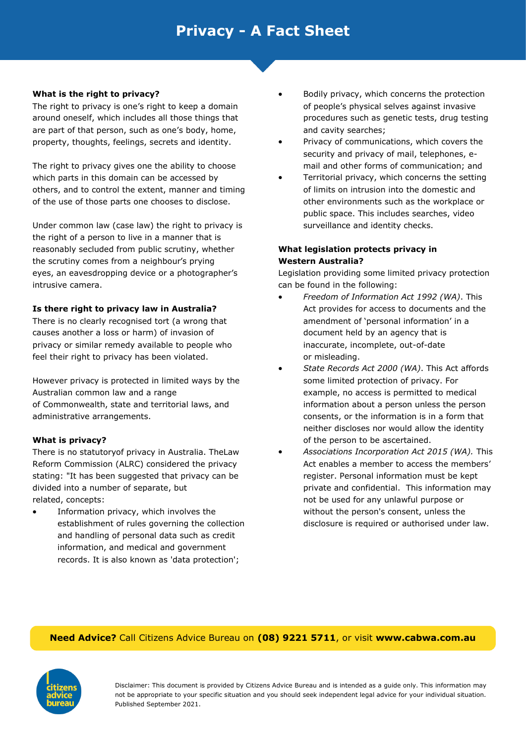### **What is the right to privacy?**

The right to privacy is one's right to keep a domain around oneself, which includes all those things that are part of that person, such as one's body, home, property, thoughts, feelings, secrets and identity.

The right to privacy gives one the ability to choose which parts in this domain can be accessed by others, and to control the extent, manner and timing of the use of those parts one chooses to disclose.

Under common law (case law) the right to privacy is the right of a person to live in a manner that is reasonably secluded from public scrutiny, whether the scrutiny comes from a neighbour's prying eyes, an eavesdropping device or a photographer's intrusive camera.

### **Is there right to privacy law in Australia?**

There is no clearly recognised tort (a wrong that causes another a loss or harm) of invasion of privacy or similar remedy available to people who feel their right to privacy has been violated.

However privacy is protected in limited ways by the Australian common law and a range of Commonwealth, state and territorial laws, and administrative arrangements.

#### **What is privacy?**

There is no statutoryof privacy in Australia. TheLaw Reform Commission (ALRC) considered the privacy stating: "It has been suggested that privacy can be divided into a number of separate, but related, concepts:

Information privacy, which involves the establishment of rules governing the collection and handling of personal data such as credit information, and medical and government records. It is also known as 'data protection';

- Bodily privacy, which concerns the protection of people's physical selves against invasive procedures such as genetic tests, drug testing and cavity searches;
- Privacy of communications, which covers the security and privacy of mail, telephones, email and other forms of communication; and
- Territorial privacy, which concerns the setting of limits on intrusion into the domestic and other environments such as the workplace or public space. This includes searches, video surveillance and identity checks.

### **What legislation protects privacy in Western Australia?**

Legislation providing some limited privacy protection can be found in the following:

- *Freedom of Information Act 1992 (WA)*. This Act provides for access to documents and the amendment of 'personal information' in a document held by an agency that is inaccurate, incomplete, out-of-date or misleading.
- *State Records Act 2000 (WA)*. This Act affords some limited protection of privacy. For example, no access is permitted to medical information about a person unless the person consents, or the information is in a form that neither discloses nor would allow the identity of the person to be ascertained.
- *Associations Incorporation Act 2015 (WA).* This Act enables a member to access the members' register. Personal information must be kept private and confidential. This information may not be used for any unlawful purpose or without the person's consent, unless the disclosure is required or authorised under law.

### **Need Advice?** Call Citizens Advice Bureau on **(08) 9221 5711**, or visit **www.cabwa.com.au**

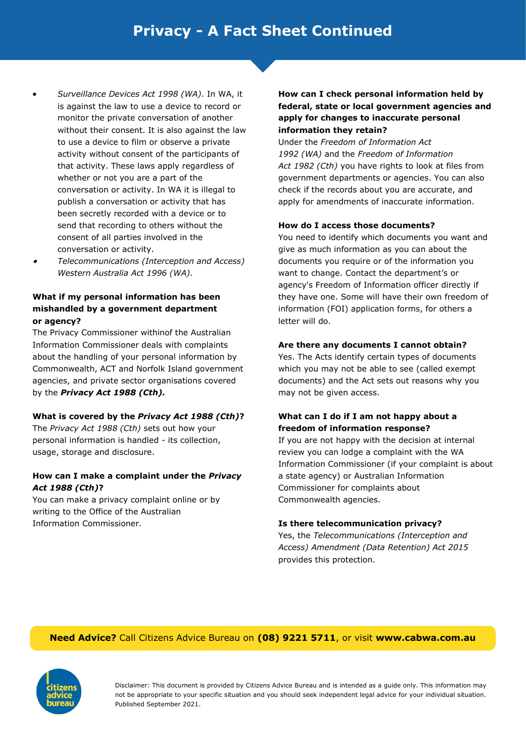- *Surveillance Devices Act 1998 (WA).* In WA, it is against the law to use a device to record or monitor the private conversation of another without their consent. It is also against the law to use a device to film or observe a private activity without consent of the participants of that activity. These laws apply regardless of whether or not you are a part of the conversation or activity. In WA it is illegal to publish a conversation or activity that has been secretly recorded with a device or to send that recording to others without the consent of all parties involved in the conversation or activity.
- • *Telecommunications (Interception and Access) Western Australia Act 1996 (WA).*

# **What if my personal information has been mishandled by a government department or agency?**

The Privacy Commissioner withinof the Australian Information Commissioner deals with complaints about the handling of your personal information by Commonwealth, ACT and Norfolk Island government agencies, and private sector organisations covered by the *Privacy Act 1988 (Cth).* 

### **What is covered by the** *Privacy Act 1988 (Cth)***?**

The *Privacy Act 1988 (Cth)* sets out how your personal information is handled - its collection, usage, storage and disclosure.

### **How can I make a complaint under the** *Privacy Act 1988 (Cth)***?**

You can make a privacy complaint online or by writing to the Office of the Australian Information Commissioner.

# **How can I check personal information held by federal, state or local government agencies and apply for changes to inaccurate personal information they retain?**

Under the *Freedom of Information Act 1992 (WA)* and the *Freedom of Information Act 1982 (Cth)* you have rights to look at files from government departments or agencies. You can also check if the records about you are accurate, and apply for amendments of inaccurate information.

### **How do I access those documents?**

You need to identify which documents you want and give as much information as you can about the documents you require or of the information you want to change. Contact the department's or agency's Freedom of Information officer directly if they have one. Some will have their own freedom of information (FOI) application forms, for others a letter will do.

### **Are there any documents I cannot obtain?**

Yes. The Acts identify certain types of documents which you may not be able to see (called exempt documents) and the Act sets out reasons why you may not be given access.

### **What can I do if I am not happy about a freedom of information response?**

If you are not happy with the decision at internal review you can lodge a complaint with the WA Information Commissioner (if your complaint is about a state agency) or Australian Information Commissioner for complaints about Commonwealth agencies.

### **Is there telecommunication privacy?**

Yes, the *Telecommunications (Interception and Access) Amendment (Data Retention) Act 2015*  provides this protection.

# **Need Advice?** Call Citizens Advice Bureau on **(08) 9221 5711**, or visit **www.cabwa.com.au**

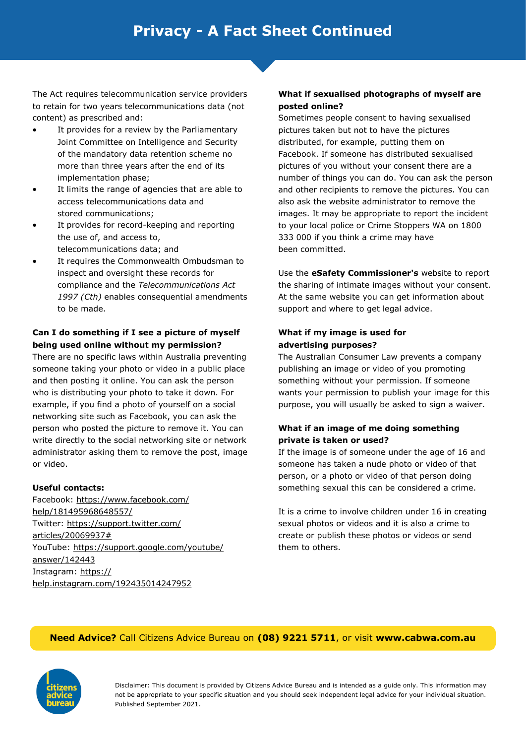The Act requires telecommunication service providers to retain for two years telecommunications data (not content) as prescribed and:

- It provides for a review by the Parliamentary Joint Committee on Intelligence and Security of the mandatory data retention scheme no more than three years after the end of its implementation phase;
- It limits the range of agencies that are able to access telecommunications data and stored communications;
- It provides for record-keeping and reporting the use of, and access to, telecommunications data; and
- It requires the Commonwealth Ombudsman to inspect and oversight these records for compliance and the *Telecommunications Act 1997 (Cth)* enables consequential amendments to be made.

# **Can I do something if I see a picture of myself being used online without my permission?**

There are no specific laws within Australia preventing someone taking your photo or video in a public place and then posting it online. You can ask the person who is distributing your photo to take it down. For example, if you find a photo of yourself on a social networking site such as Facebook, you can ask the person who posted the picture to remove it. You can write directly to the social networking site or network administrator asking them to remove the post, image or video.

# **Useful contacts:**

Facebook: https://www.facebook.com/ help/181495968648557/ Twitter: https://support.twitter.com/ articles/20069937# YouTube: https://support.google.com/youtube/ answer/142443 Instagram: https:// help.instagram.com/192435014247952

# **What if sexualised photographs of myself are posted online?**

Sometimes people consent to having sexualised pictures taken but not to have the pictures distributed, for example, putting them on Facebook. If someone has distributed sexualised pictures of you without your consent there are a number of things you can do. You can ask the person and other recipients to remove the pictures. You can also ask the website administrator to remove the images. It may be appropriate to report the incident to your local police or Crime Stoppers WA on 1800 333 000 if you think a crime may have been committed.

Use the **eSafety Commissioner's** website to report the sharing of intimate images without your consent. At the same website you can get information about support and where to get legal advice.

# **What if my image is used for advertising purposes?**

The Australian Consumer Law prevents a company publishing an image or video of you promoting something without your permission. If someone wants your permission to publish your image for this purpose, you will usually be asked to sign a waiver.

# **What if an image of me doing something private is taken or used?**

If the image is of someone under the age of 16 and someone has taken a nude photo or video of that person, or a photo or video of that person doing something sexual this can be considered a crime.

It is a crime to involve children under 16 in creating sexual photos or videos and it is also a crime to create or publish these photos or videos or send them to others.

# **Need Advice?** Call Citizens Advice Bureau on **(08) 9221 5711**, or visit **www.cabwa.com.au**

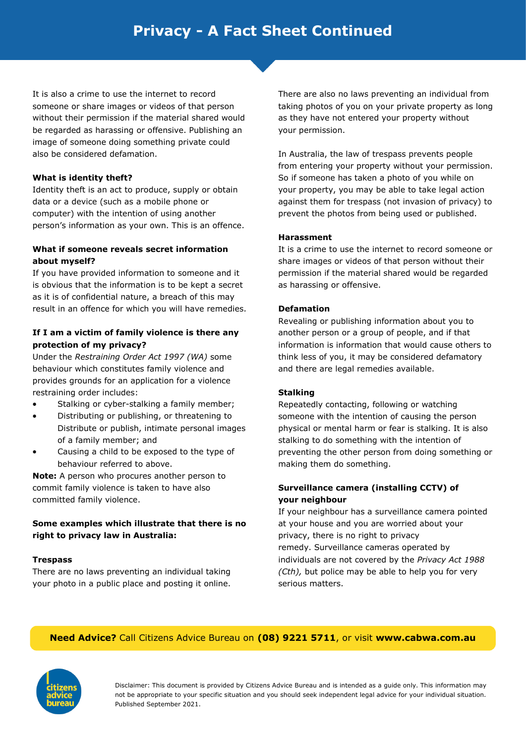# **Privacy - A Fact Sheet Continued**

It is also a crime to use the internet to record someone or share images or videos of that person without their permission if the material shared would be regarded as harassing or offensive. Publishing an image of someone doing something private could also be considered defamation.

### **What is identity theft?**

Identity theft is an act to produce, supply or obtain data or a device (such as a mobile phone or computer) with the intention of using another person's information as your own. This is an offence.

### **What if someone reveals secret information about myself?**

If you have provided information to someone and it is obvious that the information is to be kept a secret as it is of confidential nature, a breach of this may result in an offence for which you will have remedies.

### **If I am a victim of family violence is there any protection of my privacy?**

Under the *Restraining Order Act 1997 (WA)* some behaviour which constitutes family violence and provides grounds for an application for a violence restraining order includes:

- Stalking or cyber-stalking a family member;
- Distributing or publishing, or threatening to Distribute or publish, intimate personal images of a family member; and
- Causing a child to be exposed to the type of behaviour referred to above.

**Note:** A person who procures another person to commit family violence is taken to have also committed family violence.

### **Some examples which illustrate that there is no right to privacy law in Australia:**

# **Trespass**

There are no laws preventing an individual taking your photo in a public place and posting it online. There are also no laws preventing an individual from taking photos of you on your private property as long as they have not entered your property without your permission.

In Australia, the law of trespass prevents people from entering your property without your permission. So if someone has taken a photo of you while on your property, you may be able to take legal action against them for trespass (not invasion of privacy) to prevent the photos from being used or published.

### **Harassment**

It is a crime to use the internet to record someone or share images or videos of that person without their permission if the material shared would be regarded as harassing or offensive.

### **Defamation**

Revealing or publishing information about you to another person or a group of people, and if that information is information that would cause others to think less of you, it may be considered defamatory and there are legal remedies available.

### **Stalking**

Repeatedly contacting, following or watching someone with the intention of causing the person physical or mental harm or fear is stalking. It is also stalking to do something with the intention of preventing the other person from doing something or making them do something.

### **Surveillance camera (installing CCTV) of your neighbour**

If your neighbour has a surveillance camera pointed at your house and you are worried about your privacy, there is no right to privacy remedy. Surveillance cameras operated by individuals are not covered by the *Privacy Act 1988 (Cth),* but police may be able to help you for very serious matters.

# **Need Advice?** Call Citizens Advice Bureau on **(08) 9221 5711**, or visit **www.cabwa.com.au**